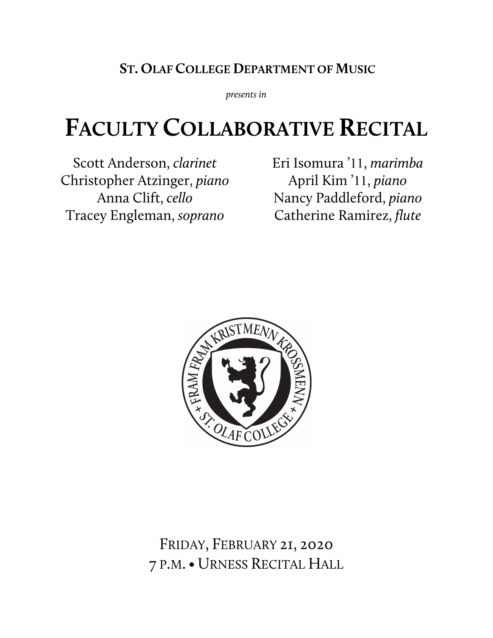## **ST. OLAF COLLEGE DEPARTMENT OF MUSIC**

*presents in*

# **FACULTY COLLABORATIVE RECITAL**

Scott Anderson, *clarinet* Christopher Atzinger, *piano* Anna Clift, *cello* Tracey Engleman, *soprano*

Eri Isomura '11, *marimba* April Kim '11, *piano* Nancy Paddleford, *piano* Catherine Ramirez, *flute*



FRIDAY, FEBRUARY 21, 2020 7 P.M.• URNESS RECITAL HALL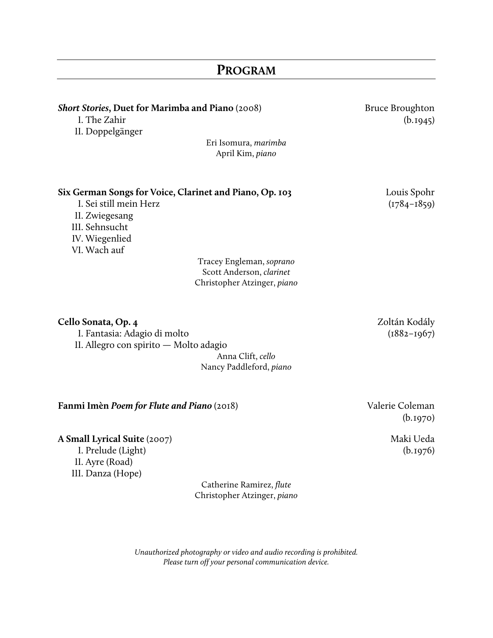## **Short Stories**, Duet for Marimba and Piano (2008) Bruce Broughton I. The Zahir (b.1945) II. Doppelgänger Eri Isomura, *marimba* April Kim, *piano* **Six German Songs for Voice, Clarinet and Piano, Op. 103** Louis Spohr I. Sei still mein Herz (1784–1859) II. Zwiegesang III. Sehnsucht IV. Wiegenlied VI. Wach auf Tracey Engleman, *soprano* Scott Anderson, *clarinet* Christopher Atzinger, *piano* **Cello Sonata, Op. 4** Zoltán Kodály I. Fantasia: Adagio di molto (1882–1967) II. Allegro con spirito — Molto adagio Anna Clift, *cello*

Nancy Paddleford, *piano*

#### **Fanmi Imèn** *Poem for Flute and Piano* (2018) Valerie Coleman

**A Small Lyrical Suite** (2007) Maki Ueda

II. Ayre (Road) III. Danza (Hope)

Catherine Ramirez, *flute* Christopher Atzinger, *piano*

*Unauthorized photography or video and audio recording is prohibited. Please turn off your personal communication device.*

(b.1970)

I. Prelude (Light) (b.1976)

**PROGRAM**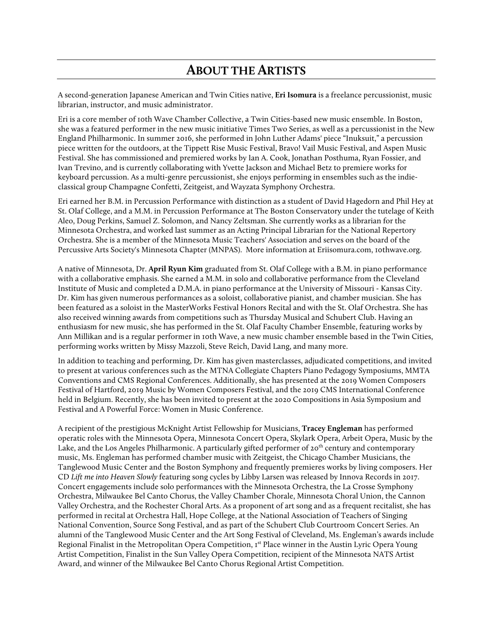#### **ABOUT THE ARTISTS**

A second-generation Japanese American and Twin Cities native, **Eri Isomura** is a freelance percussionist, music librarian, instructor, and music administrator.

Eri is a core member of 10th Wave Chamber Collective, a Twin Cities-based new music ensemble. In Boston, she was a featured performer in the new music initiative Times Two Series, as well as a percussionist in the New England Philharmonic. In summer 2016, she performed in John Luther Adams' piece "Inuksuit," a percussion piece written for the outdoors, at the Tippett Rise Music Festival, Bravo! Vail Music Festival, and Aspen Music Festival. She has commissioned and premiered works by Ian A. Cook, Jonathan Posthuma, Ryan Fossier, and Ivan Trevino, and is currently collaborating with Yvette Jackson and Michael Betz to premiere works for keyboard percussion. As a multi-genre percussionist, she enjoys performing in ensembles such as the indieclassical group Champagne Confetti, Zeitgeist, and Wayzata Symphony Orchestra.

Eri earned her B.M. in Percussion Performance with distinction as a student of David Hagedorn and Phil Hey at St. Olaf College, and a M.M. in Percussion Performance at The Boston Conservatory under the tutelage of Keith Aleo, Doug Perkins, Samuel Z. Solomon, and Nancy Zeltsman. She currently works as a librarian for the Minnesota Orchestra, and worked last summer as an Acting Principal Librarian for the National Repertory Orchestra. She is a member of the Minnesota Music Teachers' Association and serves on the board of the Percussive Arts Society's Minnesota Chapter (MNPAS). More information at Eriisomura.com, 10thwave.org.

A native of Minnesota, Dr. **April Ryun Kim** graduated from St. Olaf College with a B.M. in piano performance with a collaborative emphasis. She earned a M.M. in solo and collaborative performance from the Cleveland Institute of Music and completed a D.M.A. in piano performance at the University of Missouri - Kansas City. Dr. Kim has given numerous performances as a soloist, collaborative pianist, and chamber musician. She has been featured as a soloist in the MasterWorks Festival Honors Recital and with the St. Olaf Orchestra. She has also received winning awards from competitions such as Thursday Musical and Schubert Club. Having an enthusiasm for new music, she has performed in the St. Olaf Faculty Chamber Ensemble, featuring works by Ann Millikan and is a regular performer in 10th Wave, a new music chamber ensemble based in the Twin Cities, performing works written by Missy Mazzoli, Steve Reich, David Lang, and many more.

In addition to teaching and performing, Dr. Kim has given masterclasses, adjudicated competitions, and invited to present at various conferences such as the MTNA Collegiate Chapters Piano Pedagogy Symposiums, MMTA Conventions and CMS Regional Conferences. Additionally, she has presented at the 2019 Women Composers Festival of Hartford, 2019 Music by Women Composers Festival, and the 2019 CMS International Conference held in Belgium. Recently, she has been invited to present at the 2020 Compositions in Asia Symposium and Festival and A Powerful Force: Women in Music Conference.

A recipient of the prestigious McKnight Artist Fellowship for Musicians, **Tracey Engleman** has performed operatic roles with the Minnesota Opera, Minnesota Concert Opera, Skylark Opera, Arbeit Opera, Music by the Lake, and the Los Angeles Philharmonic. A particularly gifted performer of 20<sup>th</sup> century and contemporary music, Ms. Engleman has performed chamber music with Zeitgeist, the Chicago Chamber Musicians, the Tanglewood Music Center and the Boston Symphony and frequently premieres works by living composers. Her CD *Lift me into Heaven Slowly* featuring song cycles by Libby Larsen was released by Innova Records in 2017. Concert engagements include solo performances with the Minnesota Orchestra, the La Crosse Symphony Orchestra, Milwaukee Bel Canto Chorus, the Valley Chamber Chorale, Minnesota Choral Union, the Cannon Valley Orchestra, and the Rochester Choral Arts. As a proponent of art song and as a frequent recitalist, she has performed in recital at Orchestra Hall, Hope College, at the National Association of Teachers of Singing National Convention, Source Song Festival, and as part of the Schubert Club Courtroom Concert Series. An alumni of the Tanglewood Music Center and the Art Song Festival of Cleveland, Ms. Engleman's awards include Regional Finalist in the Metropolitan Opera Competition, 1st Place winner in the Austin Lyric Opera Young Artist Competition, Finalist in the Sun Valley Opera Competition, recipient of the Minnesota NATS Artist Award, and winner of the Milwaukee Bel Canto Chorus Regional Artist Competition.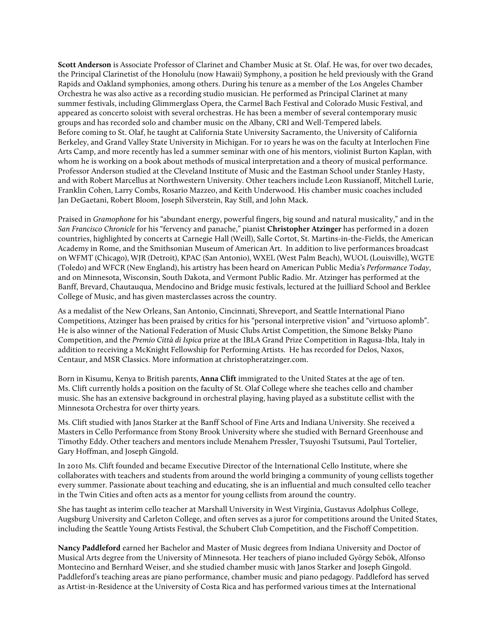**Scott Anderson** is Associate Professor of Clarinet and Chamber Music at St. Olaf. He was, for over two decades, the Principal Clarinetist of the Honolulu (now Hawaii) Symphony, a position he held previously with the Grand Rapids and Oakland symphonies, among others. During his tenure as a member of the Los Angeles Chamber Orchestra he was also active as a recording studio musician. He performed as Principal Clarinet at many summer festivals, including Glimmerglass Opera, the Carmel Bach Festival and Colorado Music Festival, and appeared as concerto soloist with several orchestras. He has been a member of several contemporary music groups and has recorded solo and chamber music on the Albany, CRI and Well-Tempered labels. Before coming to St. Olaf, he taught at California State University Sacramento, the University of California Berkeley, and Grand Valley State University in Michigan. For 10 years he was on the faculty at Interlochen Fine Arts Camp, and more recently has led a summer seminar with one of his mentors, violinist Burton Kaplan, with whom he is working on a book about methods of musical interpretation and a theory of musical performance. Professor Anderson studied at the Cleveland Institute of Music and the Eastman School under Stanley Hasty, and with Robert Marcellus at Northwestern University. Other teachers include Leon Russianoff, Mitchell Lurie, Franklin Cohen, Larry Combs, Rosario Mazzeo, and Keith Underwood. His chamber music coaches included Jan DeGaetani, Robert Bloom, Joseph Silverstein, Ray Still, and John Mack.

Praised in *Gramophone* for his "abundant energy, powerful fingers, big sound and natural musicality," and in the *San Francisco Chronicle* for his "fervency and panache," pianist **Christopher Atzinger** has performed in a dozen countries, highlighted by concerts at Carnegie Hall (Weill), Salle Cortot, St. Martins-in-the-Fields, the American Academy in Rome, and the Smithsonian Museum of American Art. In addition to live performances broadcast on WFMT (Chicago), WJR (Detroit), KPAC (San Antonio), WXEL (West Palm Beach), WUOL (Louisville), WGTE (Toledo) and WFCR (New England), his artistry has been heard on American Public Media's *Performance Today*, and on Minnesota, Wisconsin, South Dakota, and Vermont Public Radio. Mr. Atzinger has performed at the Banff, Brevard, Chautauqua, Mendocino and Bridge music festivals, lectured at the Juilliard School and Berklee College of Music, and has given masterclasses across the country.

As a medalist of the New Orleans, San Antonio, Cincinnati, Shreveport, and Seattle International Piano Competitions, Atzinger has been praised by critics for his "personal interpretive vision" and "virtuoso aplomb". He is also winner of the National Federation of Music Clubs Artist Competition, the Simone Belsky Piano Competition, and the *Premio Città di Ispica* prize at the IBLA Grand Prize Competition in Ragusa-Ibla, Italy in addition to receiving a McKnight Fellowship for Performing Artists. He has recorded for Delos, Naxos, Centaur, and MSR Classics. More information at christopheratzinger.com.

Born in Kisumu, Kenya to British parents, **Anna Clift** immigrated to the United States at the age of ten. Ms. Clift currently holds a position on the faculty of St. Olaf College where she teaches cello and chamber music. She has an extensive background in orchestral playing, having played as a substitute cellist with the Minnesota Orchestra for over thirty years.

Ms. Clift studied with Janos Starker at the Banff School of Fine Arts and Indiana University. She received a Masters in Cello Performance from Stony Brook University where she studied with Bernard Greenhouse and Timothy Eddy. Other teachers and mentors include Menahem Pressler, Tsuyoshi Tsutsumi, Paul Tortelier, Gary Hoffman, and Joseph Gingold.

In 2010 Ms. Clift founded and became Executive Director of the International Cello Institute, where she collaborates with teachers and students from around the world bringing a community of young cellists together every summer. Passionate about teaching and educating, she is an influential and much consulted cello teacher in the Twin Cities and often acts as a mentor for young cellists from around the country.

She has taught as interim cello teacher at Marshall University in West Virginia, Gustavus Adolphus College, Augsburg University and Carleton College, and often serves as a juror for competitions around the United States, including the Seattle Young Artists Festival, the Schubert Club Competition, and the Fischoff Competition.

**Nancy Paddleford** earned her Bachelor and Master of Music degrees from Indiana University and Doctor of Musical Arts degree from the University of Minnesota. Her teachers of piano included György Sebök, Alfonso Montecino and Bernhard Weiser, and she studied chamber music with Janos Starker and Joseph Gingold. Paddleford's teaching areas are piano performance, chamber music and piano pedagogy. Paddleford has served as Artist-in-Residence at the University of Costa Rica and has performed various times at the International